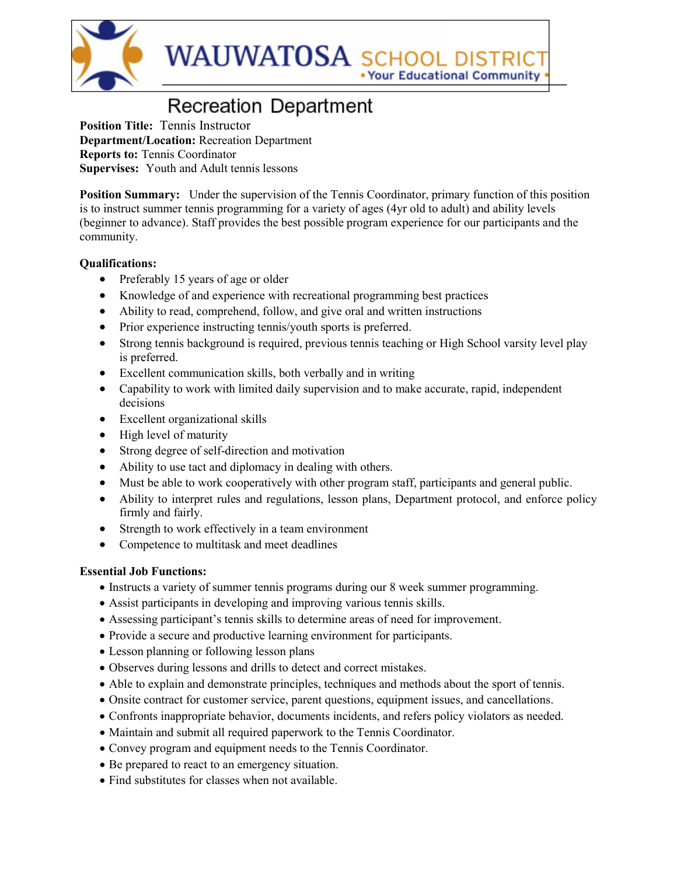

# **Recreation Department**

**Position Title:** Tennis Instructor **Department/Location:** Recreation Department **Reports to:** Tennis Coordinator **Supervises:** Youth and Adult tennis lessons

**Position Summary:** Under the supervision of the Tennis Coordinator, primary function of this position is to instruct summer tennis programming for a variety of ages (4yr old to adult) and ability levels (beginner to advance). Staff provides the best possible program experience for our participants and the community.

#### **Qualifications:**

- Preferably 15 years of age or older
- Knowledge of and experience with recreational programming best practices
- Ability to read, comprehend, follow, and give oral and written instructions
- Prior experience instructing tennis/youth sports is preferred.
- Strong tennis background is required, previous tennis teaching or High School varsity level play is preferred.
- Excellent communication skills, both verbally and in writing
- Capability to work with limited daily supervision and to make accurate, rapid, independent decisions
- Excellent organizational skills
- High level of maturity
- Strong degree of self-direction and motivation
- Ability to use tact and diplomacy in dealing with others.
- Must be able to work cooperatively with other program staff, participants and general public.
- Ability to interpret rules and regulations, lesson plans, Department protocol, and enforce policy firmly and fairly.
- Strength to work effectively in a team environment
- Competence to multitask and meet deadlines

## **Essential Job Functions:**

- Instructs a variety of summer tennis programs during our 8 week summer programming.
- Assist participants in developing and improving various tennis skills.
- Assessing participant's tennis skills to determine areas of need for improvement.
- Provide a secure and productive learning environment for participants.
- Lesson planning or following lesson plans
- Observes during lessons and drills to detect and correct mistakes.
- Able to explain and demonstrate principles, techniques and methods about the sport of tennis.
- Onsite contract for customer service, parent questions, equipment issues, and cancellations.
- Confronts inappropriate behavior, documents incidents, and refers policy violators as needed.
- Maintain and submit all required paperwork to the Tennis Coordinator.
- Convey program and equipment needs to the Tennis Coordinator.
- Be prepared to react to an emergency situation.
- Find substitutes for classes when not available.